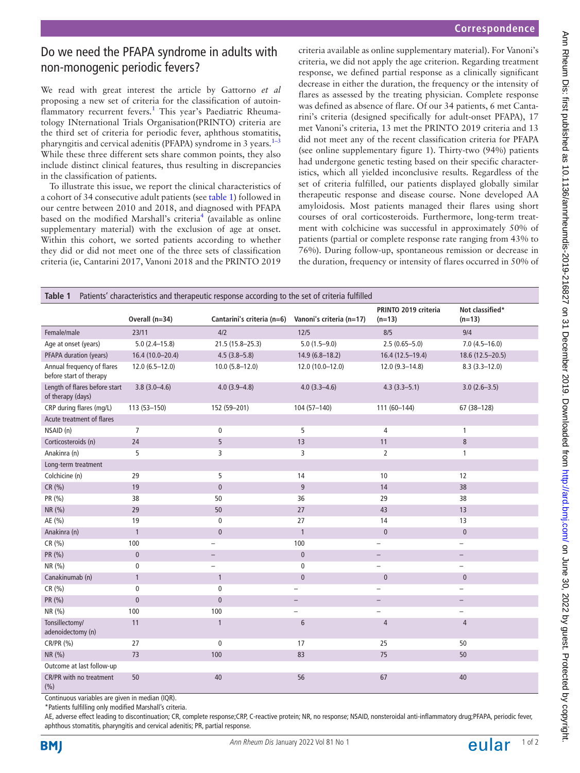# Do we need the PFAPA syndrome in adults with non-monogenic periodic fevers?

We read with great interest the article by Gattorno *et al* proposing a new set of criteria for the classification of autoin-flammatory recurrent fevers.<sup>[1](#page-1-0)</sup> This year's Paediatric Rheumatology INternational Trials Organisation(PRINTO) criteria are the third set of criteria for periodic fever, aphthous stomatitis, pharyngitis and cervical adenitis (PFAPA) syndrome in 3 years. $1-3$ While these three different sets share common points, they also include distinct clinical features, thus resulting in discrepancies in the classification of patients.

To illustrate this issue, we report the clinical characteristics of a cohort of 34 consecutive adult patients (see [table](#page-0-0) 1) followed in our centre between 2010 and 2018, and diagnosed with PFAPA based on the modified Marshall's criteria<sup>[4](#page-1-1)</sup> (available as online [supplementary material\)](https://dx.doi.org/10.1136/annrheumdis-2019-216827) with the exclusion of age at onset. Within this cohort, we sorted patients according to whether they did or did not meet one of the three sets of classification criteria (ie, Cantarini 2017, Vanoni 2018 and the PRINTO 2019

criteria available as [online supplementary material\)](https://dx.doi.org/10.1136/annrheumdis-2019-216827). For Vanoni's criteria, we did not apply the age criterion. Regarding treatment response, we defined partial response as a clinically significant decrease in either the duration, the frequency or the intensity of flares as assessed by the treating physician. Complete response was defined as absence of flare. Of our 34 patients, 6 met Cantarini's criteria (designed specifically for adult-onset PFAPA), 17 met Vanoni's criteria, 13 met the PRINTO 2019 criteria and 13 did not meet any of the recent classification criteria for PFAPA (see [online supplementary figure 1](https://dx.doi.org/10.1136/annrheumdis-2019-216827)). Thirty-two (94%) patients had undergone genetic testing based on their specific characteristics, which all yielded inconclusive results. Regardless of the set of criteria fulfilled, our patients displayed globally similar therapeutic response and disease course. None developed AA amyloidosis. Most patients managed their flares using short courses of oral corticosteroids. Furthermore, long-term treatment with colchicine was successful in approximately 50% of patients (partial or complete response rate ranging from 43% to 76%). During follow-up, spontaneous remission or decrease in the duration, frequency or intensity of flares occurred in 50% of

<span id="page-0-0"></span>

| Patients' characteristics and therapeutic response according to the set of criteria fulfilled<br>Table 1 |                   |                            |                          |                                  |                             |
|----------------------------------------------------------------------------------------------------------|-------------------|----------------------------|--------------------------|----------------------------------|-----------------------------|
|                                                                                                          | Overall (n=34)    | Cantarini's criteria (n=6) | Vanoni's criteria (n=17) | PRINTO 2019 criteria<br>$(n=13)$ | Not classified*<br>$(n=13)$ |
| Female/male                                                                                              | 23/11             | 4/2                        | $12/5$                   | 8/5                              | 9/4                         |
| Age at onset (years)                                                                                     | $5.0(2.4 - 15.8)$ | 21.5 (15.8-25.3)           | $5.0(1.5-9.0)$           | $2.5(0.65 - 5.0)$                | $7.0(4.5-16.0)$             |
| PFAPA duration (years)                                                                                   | 16.4 (10.0-20.4)  | $4.5(3.8 - 5.8)$           | $14.9(6.8 - 18.2)$       | 16.4 (12.5-19.4)                 | 18.6 (12.5-20.5)            |
| Annual frequency of flares<br>before start of therapy                                                    | $12.0(6.5-12.0)$  | $10.0 (5.8 - 12.0)$        | 12.0 (10.0-12.0)         | $12.0(9.3 - 14.8)$               | $8.3(3.3 - 12.0)$           |
| Length of flares before start<br>of therapy (days)                                                       | $3.8(3.0 - 4.6)$  | $4.0(3.9 - 4.8)$           | $4.0(3.3-4.6)$           | $4.3(3.3 - 5.1)$                 | $3.0(2.6 - 3.5)$            |
| CRP during flares (mg/L)                                                                                 | 113 (53-150)      | 152 (59-201)               | 104 (57-140)             | 111 (60-144)                     | 67 (38-128)                 |
| Acute treatment of flares                                                                                |                   |                            |                          |                                  |                             |
| NSAID (n)                                                                                                | $\overline{7}$    | $\pmb{0}$                  | 5                        | 4                                | $\mathbf{1}$                |
| Corticosteroids (n)                                                                                      | 24                | 5                          | 13                       | 11                               | 8                           |
| Anakinra (n)                                                                                             | 5                 | 3                          | 3                        | $\overline{2}$                   | 1                           |
| Long-term treatment                                                                                      |                   |                            |                          |                                  |                             |
| Colchicine (n)                                                                                           | 29                | 5                          | 14                       | 10                               | 12                          |
| CR (%)                                                                                                   | 19                | $\mathbf{0}$               | 9                        | 14                               | 38                          |
| PR (%)                                                                                                   | 38                | 50                         | 36                       | 29                               | 38                          |
| NR (%)                                                                                                   | 29                | 50                         | 27                       | 43                               | 13                          |
| AE (%)                                                                                                   | 19                | $\mathbf 0$                | 27                       | 14                               | 13                          |
| Anakinra (n)                                                                                             | $\mathbf{1}$      | $\mathbf{0}$               | $\mathbf{1}$             | $\pmb{0}$                        | $\mathbf{0}$                |
| CR (%)                                                                                                   | 100               |                            | 100                      | $\qquad \qquad -$                | $\overline{\phantom{0}}$    |
| PR (%)                                                                                                   | $\pmb{0}$         | $\overline{\phantom{m}}$   | $\mathbf{0}$             | $\overline{\phantom{a}}$         | $\overline{\phantom{0}}$    |
| NR (%)                                                                                                   | $\pmb{0}$         |                            | $\pmb{0}$                | $\qquad \qquad -$                | $\overline{\phantom{0}}$    |
| Canakinumab (n)                                                                                          | $\mathbf{1}$      | $\mathbf{1}$               | $\mathbf{0}$             | $\pmb{0}$                        | $\mathbf{0}$                |
| CR (%)                                                                                                   | $\mathbf 0$       | $\mathbf{0}$               | $\overline{\phantom{0}}$ | $\qquad \qquad -$                | $\overline{\phantom{0}}$    |
| PR (%)                                                                                                   | $\pmb{0}$         | $\mathbf{0}$               | $\qquad \qquad -$        | $\overline{\phantom{0}}$         | $\overline{\phantom{0}}$    |
| NR (%)                                                                                                   | 100               | 100                        | $\overline{\phantom{0}}$ | $\overline{\phantom{0}}$         | $\overline{\phantom{0}}$    |
| Tonsillectomy/<br>adenoidectomy (n)                                                                      | 11                | $\overline{1}$             | $6\phantom{1}$           | $\overline{4}$                   | $\overline{4}$              |
| CR/PR (%)                                                                                                | 27                | $\mathbf 0$                | 17                       | 25                               | 50                          |
| NR (%)                                                                                                   | 73                | 100                        | 83                       | 75                               | 50                          |
| Outcome at last follow-up                                                                                |                   |                            |                          |                                  |                             |
| CR/PR with no treatment<br>(%)                                                                           | 50                | 40                         | 56                       | 67                               | 40                          |

Continuous variables are given in median (IQR).

\*Patients fulfilling only modified Marshall's criteria.

AE, adverse effect leading to discontinuation; CR, complete response;CRP, C-reactive protein; NR, no response; NSAID, nonsteroidal anti-inflammatory drug;PFAPA, periodic fever, aphthous stomatitis, pharyngitis and cervical adenitis; PR, partial response.